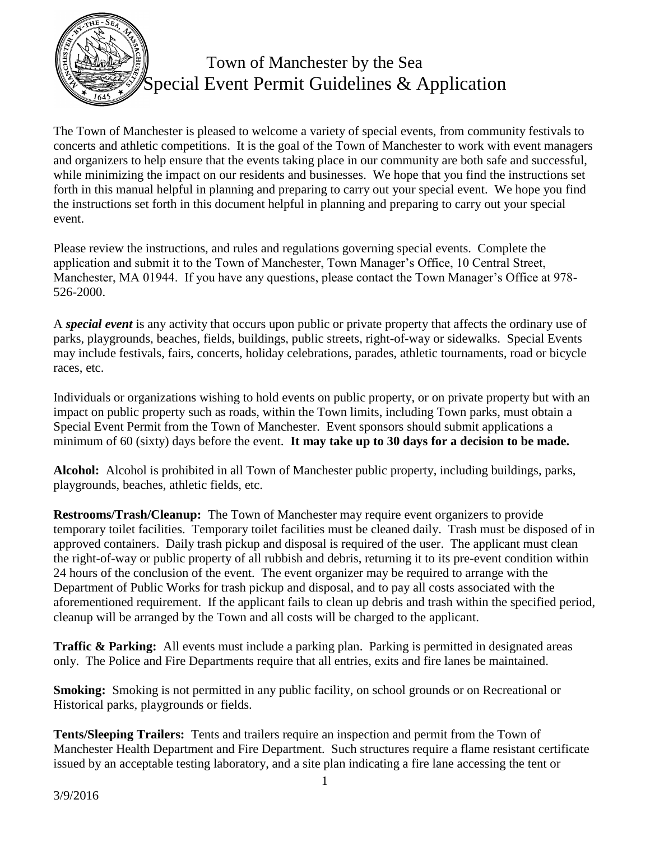

# Town of Manchester by the Sea Special Event Permit Guidelines & Application

The Town of Manchester is pleased to welcome a variety of special events, from community festivals to concerts and athletic competitions. It is the goal of the Town of Manchester to work with event managers and organizers to help ensure that the events taking place in our community are both safe and successful, while minimizing the impact on our residents and businesses. We hope that you find the instructions set forth in this manual helpful in planning and preparing to carry out your special event. We hope you find the instructions set forth in this document helpful in planning and preparing to carry out your special event.

Please review the instructions, and rules and regulations governing special events. Complete the application and submit it to the Town of Manchester, Town Manager's Office, 10 Central Street, Manchester, MA 01944. If you have any questions, please contact the Town Manager's Office at 978- 526-2000.

A *special event* is any activity that occurs upon public or private property that affects the ordinary use of parks, playgrounds, beaches, fields, buildings, public streets, right-of-way or sidewalks. Special Events may include festivals, fairs, concerts, holiday celebrations, parades, athletic tournaments, road or bicycle races, etc.

Individuals or organizations wishing to hold events on public property, or on private property but with an impact on public property such as roads, within the Town limits, including Town parks, must obtain a Special Event Permit from the Town of Manchester. Event sponsors should submit applications a minimum of 60 (sixty) days before the event. **It may take up to 30 days for a decision to be made.**

**Alcohol:** Alcohol is prohibited in all Town of Manchester public property, including buildings, parks, playgrounds, beaches, athletic fields, etc.

**Restrooms/Trash/Cleanup:** The Town of Manchester may require event organizers to provide temporary toilet facilities. Temporary toilet facilities must be cleaned daily. Trash must be disposed of in approved containers. Daily trash pickup and disposal is required of the user. The applicant must clean the right-of-way or public property of all rubbish and debris, returning it to its pre-event condition within 24 hours of the conclusion of the event. The event organizer may be required to arrange with the Department of Public Works for trash pickup and disposal, and to pay all costs associated with the aforementioned requirement. If the applicant fails to clean up debris and trash within the specified period, cleanup will be arranged by the Town and all costs will be charged to the applicant.

**Traffic & Parking:** All events must include a parking plan. Parking is permitted in designated areas only. The Police and Fire Departments require that all entries, exits and fire lanes be maintained.

**Smoking:** Smoking is not permitted in any public facility, on school grounds or on Recreational or Historical parks, playgrounds or fields.

**Tents/Sleeping Trailers:** Tents and trailers require an inspection and permit from the Town of Manchester Health Department and Fire Department. Such structures require a flame resistant certificate issued by an acceptable testing laboratory, and a site plan indicating a fire lane accessing the tent or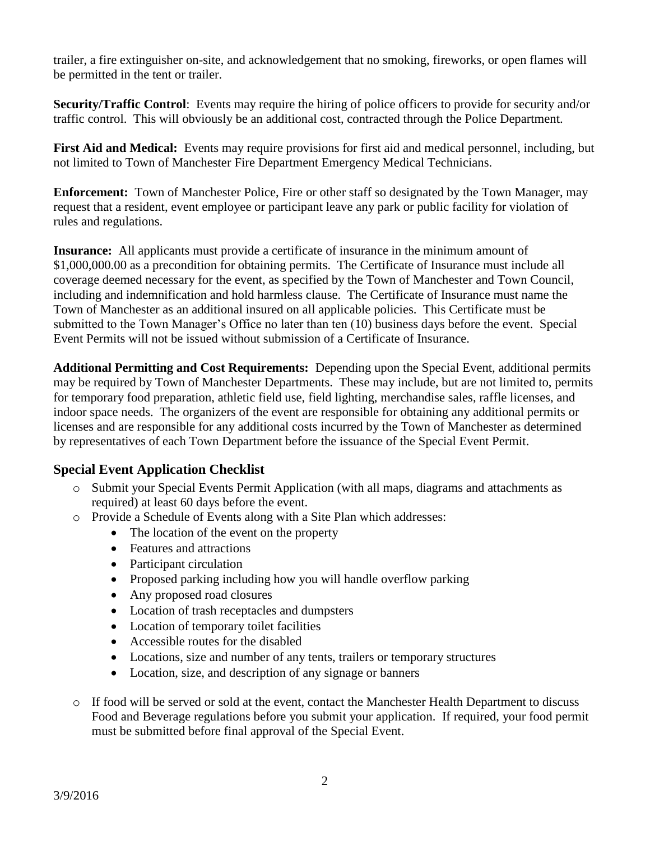trailer, a fire extinguisher on-site, and acknowledgement that no smoking, fireworks, or open flames will be permitted in the tent or trailer.

**Security/Traffic Control**: Events may require the hiring of police officers to provide for security and/or traffic control. This will obviously be an additional cost, contracted through the Police Department.

**First Aid and Medical:** Events may require provisions for first aid and medical personnel, including, but not limited to Town of Manchester Fire Department Emergency Medical Technicians.

**Enforcement:** Town of Manchester Police, Fire or other staff so designated by the Town Manager, may request that a resident, event employee or participant leave any park or public facility for violation of rules and regulations.

**Insurance:** All applicants must provide a certificate of insurance in the minimum amount of \$1,000,000.00 as a precondition for obtaining permits. The Certificate of Insurance must include all coverage deemed necessary for the event, as specified by the Town of Manchester and Town Council, including and indemnification and hold harmless clause. The Certificate of Insurance must name the Town of Manchester as an additional insured on all applicable policies. This Certificate must be submitted to the Town Manager's Office no later than ten (10) business days before the event. Special Event Permits will not be issued without submission of a Certificate of Insurance.

**Additional Permitting and Cost Requirements:** Depending upon the Special Event, additional permits may be required by Town of Manchester Departments. These may include, but are not limited to, permits for temporary food preparation, athletic field use, field lighting, merchandise sales, raffle licenses, and indoor space needs. The organizers of the event are responsible for obtaining any additional permits or licenses and are responsible for any additional costs incurred by the Town of Manchester as determined by representatives of each Town Department before the issuance of the Special Event Permit.

## **Special Event Application Checklist**

- o Submit your Special Events Permit Application (with all maps, diagrams and attachments as required) at least 60 days before the event.
- o Provide a Schedule of Events along with a Site Plan which addresses:
	- The location of the event on the property
	- Features and attractions
	- Participant circulation
	- Proposed parking including how you will handle overflow parking
	- Any proposed road closures
	- Location of trash receptacles and dumpsters
	- Location of temporary toilet facilities
	- Accessible routes for the disabled
	- Locations, size and number of any tents, trailers or temporary structures
	- Location, size, and description of any signage or banners
- o If food will be served or sold at the event, contact the Manchester Health Department to discuss Food and Beverage regulations before you submit your application. If required, your food permit must be submitted before final approval of the Special Event.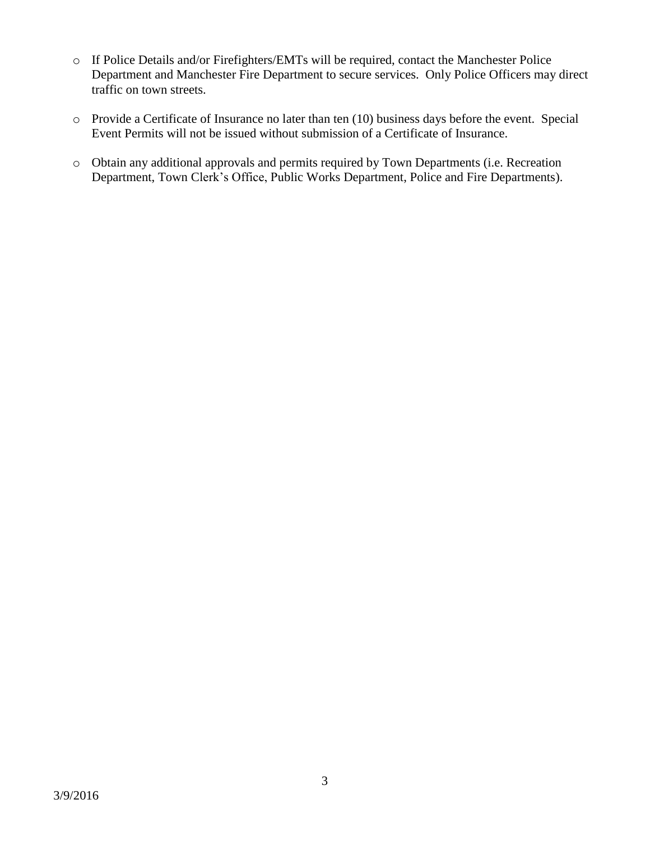- o If Police Details and/or Firefighters/EMTs will be required, contact the Manchester Police Department and Manchester Fire Department to secure services. Only Police Officers may direct traffic on town streets.
- o Provide a Certificate of Insurance no later than ten (10) business days before the event. Special Event Permits will not be issued without submission of a Certificate of Insurance.
- o Obtain any additional approvals and permits required by Town Departments (i.e. Recreation Department, Town Clerk's Office, Public Works Department, Police and Fire Departments).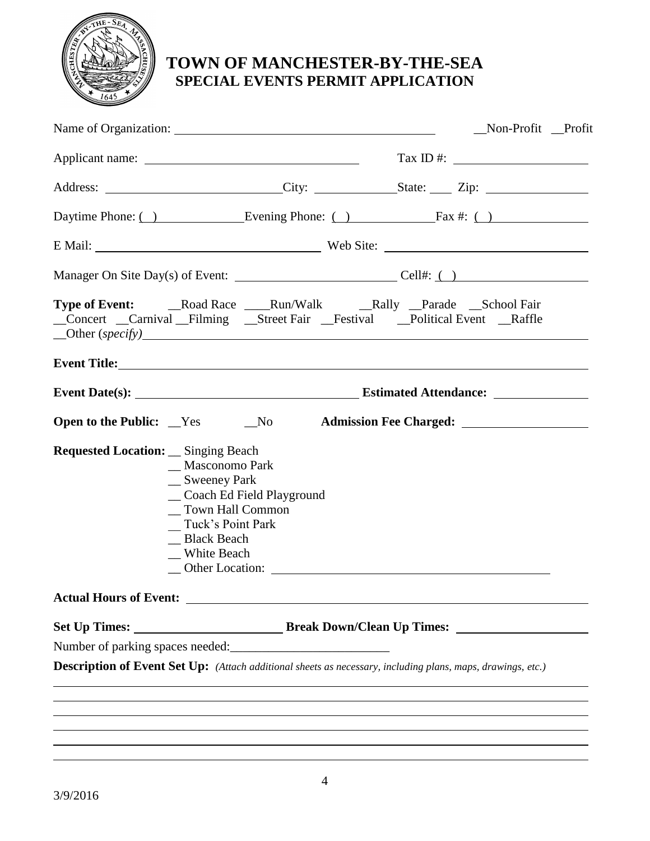

## **TOWN OF MANCHESTER-BY-THE-SEA SPECIAL EVENTS PERMIT APPLICATION**

|                                          |                                                                                                                                                | Non-Profit Profit                                                                                                                                                                                                                                                                                      |  |  |  |
|------------------------------------------|------------------------------------------------------------------------------------------------------------------------------------------------|--------------------------------------------------------------------------------------------------------------------------------------------------------------------------------------------------------------------------------------------------------------------------------------------------------|--|--|--|
|                                          |                                                                                                                                                | Tax ID #: $\frac{1}{2}$ = $\frac{1}{2}$ = $\frac{1}{2}$ = $\frac{1}{2}$ = $\frac{1}{2}$ = $\frac{1}{2}$ = $\frac{1}{2}$ = $\frac{1}{2}$ = $\frac{1}{2}$ = $\frac{1}{2}$ = $\frac{1}{2}$ = $\frac{1}{2}$ = $\frac{1}{2}$ = $\frac{1}{2}$ = $\frac{1}{2}$ = $\frac{1}{2}$ = $\frac{1}{2}$ = $\frac{1}{2$ |  |  |  |
|                                          |                                                                                                                                                |                                                                                                                                                                                                                                                                                                        |  |  |  |
|                                          |                                                                                                                                                | Daytime Phone: () Evening Phone: () Fax #: ()                                                                                                                                                                                                                                                          |  |  |  |
|                                          | E Mail: Web Site: Web Site:                                                                                                                    |                                                                                                                                                                                                                                                                                                        |  |  |  |
|                                          |                                                                                                                                                |                                                                                                                                                                                                                                                                                                        |  |  |  |
|                                          |                                                                                                                                                | _Concert _Carnival _Filming _Street Fair _Festival _Political Event _Raffle                                                                                                                                                                                                                            |  |  |  |
|                                          |                                                                                                                                                |                                                                                                                                                                                                                                                                                                        |  |  |  |
|                                          |                                                                                                                                                |                                                                                                                                                                                                                                                                                                        |  |  |  |
|                                          |                                                                                                                                                |                                                                                                                                                                                                                                                                                                        |  |  |  |
| <b>Requested Location:</b> Singing Beach | _ Masconomo Park<br>_ Sweeney Park<br>_Coach Ed Field Playground<br>_ Town Hall Common<br>_Tuck's Point Park<br>_ Black Beach<br>_ White Beach |                                                                                                                                                                                                                                                                                                        |  |  |  |
| <b>Actual Hours of Event:</b>            |                                                                                                                                                |                                                                                                                                                                                                                                                                                                        |  |  |  |
|                                          |                                                                                                                                                |                                                                                                                                                                                                                                                                                                        |  |  |  |
|                                          |                                                                                                                                                |                                                                                                                                                                                                                                                                                                        |  |  |  |
|                                          |                                                                                                                                                | <b>Description of Event Set Up:</b> (Attach additional sheets as necessary, including plans, maps, drawings, etc.)                                                                                                                                                                                     |  |  |  |
|                                          |                                                                                                                                                |                                                                                                                                                                                                                                                                                                        |  |  |  |
|                                          |                                                                                                                                                |                                                                                                                                                                                                                                                                                                        |  |  |  |